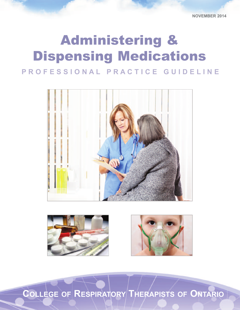## PROFESSIONAL PRACTICE GUIDELINE Administering & Dispensing Medications







**COLLEGE OF RESPIRATORy ThERAPISTS OF ONTARIO**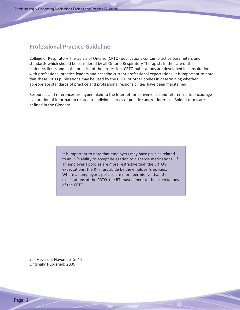#### **Professional Practice Guideline**

College of Respiratory Therapists of Ontario (CRTO) publications contain practice parameters and standards which should be considered by all Ontario Respiratory Therapists in the care of their patients/clients and in the practice of the profession. CRTO publications are developed in consultation with professional practice leaders and describe current professional expectations. It is important to note that these CRTO publications may be used by the CRTO or other bodies in determining whether appropriate standards of practice and professional responsibilities have been maintained.

Resources and references are hyperlinked to the Internet for convenience and referenced to encourage exploration of information related to individual areas of practice and/or interests. Bolded terms are defined in the Glossary.

> It is important to note that employers may have policies related to an RT's ability to accept delegation to dispense medications. If an employer's policies are more restrictive than the CRTO's expectations, the RT must abide by the employer's policies. Where an employer's policies are more permissive than the expectations of the CRTO, the RT must adhere to the expectations of the CRTO.

2<sup>nd</sup> Revision: November 2014 Originally Published: 2005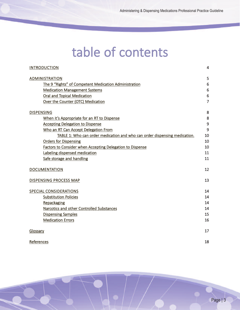## table of contents

| <b>INTRODUCTION</b>                                                        | 4              |
|----------------------------------------------------------------------------|----------------|
| <b>ADMINISTRATION</b>                                                      | 5              |
| The 9 "Rights" of Competent Medication Administration                      | 6              |
| <b>Medication Management Systems</b>                                       | 6              |
| <b>Oral and Topical Medication</b>                                         | 6              |
| Over the Counter (OTC) Medication                                          | $\overline{7}$ |
| <b>DISPENSING</b>                                                          | 8              |
| When it's Appropriate for an RT to Dispense                                | 8              |
| <b>Accepting Delegation to Dispense</b>                                    | $\mathsf 9$    |
| Who an RT Can Accept Delegation From                                       | 9              |
| TABLE 1: Who can order medication and who can order dispensing medication. | 10             |
| <b>Orders for Dispensing</b>                                               | 10             |
| Factors to Consider when Accepting Delegation to Dispense                  | 10             |
| Labeling dispensed medication                                              | 11             |
| Safe storage and handling                                                  | 11             |
| <b>DOCUMENTATION</b>                                                       | 12             |
| <b>DISPENSING PROCESS MAP</b>                                              | 13             |
| <b>SPECIAL CONSIDERATIONS</b>                                              | 14             |
| <b>Substitution Policies</b>                                               | 14             |
| Repackaging                                                                | 14             |
| Narcotics and other Controlled Substances                                  | 14             |
| <b>Dispensing Samples</b>                                                  | 15             |
| <b>Medication Errors</b>                                                   | 16             |
| Glossary                                                                   | 17             |
| References                                                                 | 18             |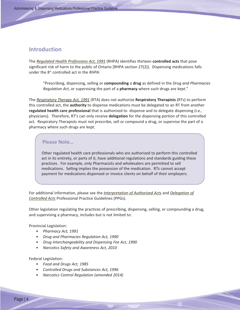#### **Introduction**

The *Regulated Health [Professions](http://www.e-laws.gov.on.ca/html/statutes/english/elaws_statutes_91r18_e.htm) Act, 1991* (RHPA) identifies thirteen **controlled acts** that pose significant risk of harm to the public of Ontario [RHPA section 27(2)]. Dispensing medications falls under the 8th controlled act in the *RHPA*:

<span id="page-3-0"></span>"Prescribing, dispensing, selling or **compounding** a **drug** as defined in the *Drug and Pharmacies Regulation Act*, or supervising the part of a **pharmacy** where such drugs are kept."

The *[Respiratory](http://www.e-laws.gov.on.ca/html/statutes/english/elaws_statutes_91r39_e.htm) Therapy Act, 1991* (RTA) does not authorize **Respiratory Therapists** (RTs) to perform this controlled act, the **authority** to dispense medications must be delegated to an RT from another **regulated health care professional** that is authorized to dispense and to delegate dispensing (i.e., physicians). Therefore, RT's can only receive **delegation** for the dispensing portion of this controlled act. Respiratory Therapists must not prescribe, sell or compound a drug, or supervise the part of a pharmacy where such drugs are kept.

#### **Please Note…**

Other regulated health care professionals who are authorized to perform this controlled act in its entirety, or parts of it, have additional regulations and standards guiding these practices. For example, only Pharmacists and wholesalers are permitted to sell medications. Selling implies the possession of the medication. RTs cannot accept payment for medications dispensed or invoice clients on behalf of their employers.

For additional information, please see the *[Interpretation](http://www.crto.on.ca/pdf/PPG/interpretation.pdf) of Authorized Acts* and *[Delegation](http://www.crto.on.ca/pdf/PPG/delegation.pdf) of [Controlled](http://www.crto.on.ca/pdf/PPG/delegation.pdf) Acts* Professional Practice Guidelines (PPGs).

Other legislation regulating the practices of prescribing, dispensing, selling, or compounding a drug, and supervising a pharmacy, includes but is not limited to:

Provincial Legislation:

- *Pharmacy Act, 1991*
- *Drug and Pharmacies Regulation Act, 1990*
- *Drug Interchangeability and Dispensing Fee Act, 1990*
- *Narcotics Safety and Awareness Act, 2010*

Federal Legislation:

- *Food and Drugs Act, 1985*
- *Controlled Drugs and Substances Act, 1996*
- *Narcotics Control Regulation (amended 2014)*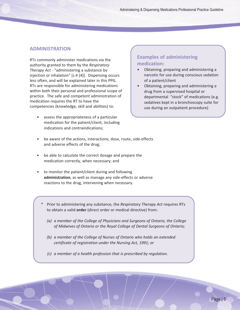#### **ADMINISTRATION**

RTs commonly administer medications via the authority granted to them by the *Respiratory Therapy Act* - "administering a substance by injection or inhalation" [s.4 (4)]. Dispensing occurs less often, and will be explained later in this PPG. RTs are responsible for administering medications within both their personal and professional scope of practice. The safe and competent administration of medication requires the RT to have the competencies (knowledge, skill and abilities) to:

assess the appropriateness of a particular medication for the patient/client, including indications and contraindications;

#### **Examples of administering medication:**

- <span id="page-4-0"></span>• Obtaining, preparing and administering a narcotic for use during conscious sedation of a patient/client
- Obtaining, preparing and administering a drug from a supervised hospital or departmental "stock" of medications (e.g. sedatives kept in a bronchoscopy suite for use during an outpatient procedure)
- be aware of the actions, interactions, dose, route, side-effects and adverse effects of the drug;
- be able to calculate the correct dosage and prepare the medication correctly, when necessary; and
- to monitor the patient/client during and following **administration**, as well as manage any side-effects or adverse reactions to the drug, intervening when necessary.
	- \* Prior to administering any substance, the *Respiratory Therapy Act* requires RTs to obtain a valid **order** (direct order or medical directive) from:
		- *(a) a member of the College of Physicians and Surgeons of Ontario, the College of Midwives of Ontario or the Royal College of Dental Surgeons of Ontario;*
		- *(b) a member of the College of Nurses of Ontario who holds an extended certificate of registration under the Nursing Act, 1991; or*
		- *(c) a member of a health profession that is prescribed by regulation.*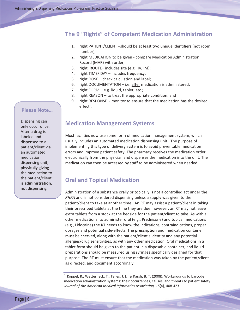#### **The 9 "Rights" of Competent Medication Administration**

- <span id="page-5-2"></span>1. right PATIENT/CLIENT –should be at least two unique identifiers (not room number);
- 2. right MEDICATION to be given compare Medication Administration Record (MAR) with order;
- 3. right ROUTE– includes site (e.g., IV, IM);
- 4. right TIME/ DAY includes frequency;
- 5. right DOSE check calculation and label;
- 6. right DOCUMENTATION i.e. after medication is administered;
- 7. right FORM e.g. liquid, tablet, etc.;
- 8. right REASON to treat the appropriate condition; and
- <span id="page-5-1"></span>9. right RESPONSE - monitor to ensure that the medication has the desired effect<sup>1</sup>.

### **Medication Management Systems**

Most facilities now use some form of medication management system, which usually includes an automated medication dispensing unit. The purpose of implementing this type of delivery system is to avoid preventable medication errors and improve patient safety. The pharmacy receives the medication order electronically from the physician and dispenses the medication into the unit. The medication can then be accessed by staff to be administered when needed.

#### <span id="page-5-0"></span>**Oral and Topical Medication**

Administration of a substance orally or topically is not a controlled act under the *RHPA* and is not considered dispensing unless a supply was given to the patient/client to take at another time. An RT may assist a patient/client in taking their prescribed tablets at the time they are due; however, an RT may not leave extra tablets from a stock at the bedside for the patient/client to take. As with all other medications, to administer oral (e.g., Prednisone) and topical medications (e.g., Lidocaine) the RT needs to know the indications, contraindications, proper dosages and potential side-effects. The **prescription** and medication container must be checked, along with the patient/client's identity and any potential allergies/drug sensitivities, as with any other medication. Oral medications in a tablet form should be given to the patient in a disposable container, and liquid preparations should be measured using syringes specifically designed for that purpose. The RT must ensure that the medication was taken by the patient/client as directed, and document accordingly.

#### **Please Note…**

Dispensing can only occur once. After a drug is labeled and dispensed to a patient/client via an automated medication dispensing unit, physically giving the medication to the patient/client is **administration**, not dispensing.

<sup>1</sup> Koppel, R., Wetterneck, T., Telles, J. L., & Karsh, B. T. (2008). Workarounds to barcode medication administration systems: their occurrences, causes, and threats to patient safety. *Journal of the American Medical Informatics Association, 15*(4), 408-423..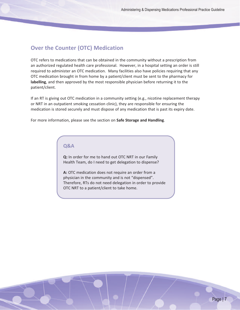#### **Over the Counter (OTC) Medication**

OTC refers to medications that can be obtained in the community without a prescription from an authorized regulated health care professional. However, in a hospital setting an order is still required to administer an OTC medication. Many facilities also have policies requiring that any OTC medication brought in from home by a patient/client must be sent to the pharmacy for **labelling**, and then approved by the most responsible physician before returning it to the patient/client.

If an RT is giving out OTC medication in a community setting (e.g., nicotine replacement therapy or NRT in an outpatient smoking cessation clinic), they are responsible for ensuring the medication is stored securely and must dispose of any medication that is past its expiry date.

For more information, please see the section on **Safe Storage and Handling**.

#### <span id="page-6-0"></span>**Q&A**

**Q:** In order for me to hand out OTC NRT in our Family Health Team, do I need to get delegation to dispense?

**A:** OTC medication does not require an order from a physician in the community and is not "dispensed". Therefore, RTs do not need delegation in order to provide OTC NRT to a patient/client to take home.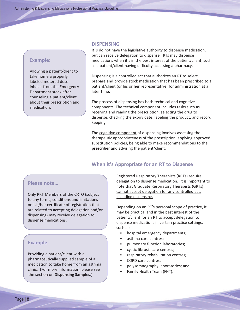#### **Example:**

Allowing a patient/client to take home a properly labeled metered dose inhaler from the Emergency Department stock after counseling a patient/client about their prescription and medication.

#### <span id="page-7-1"></span>**DISPENSING**

RTs do not have the legislative authority to dispense medication, but can receive delegation to dispense. RTs may dispense medications when it's in the best interest of the patient/client, such as a patient/client having difficulty accessing a pharmacy.

Dispensing is a controlled act that authorizes an RT to select, prepare and provide stock medication that has been prescribed to a patient/client (or his or her representative) for administration at a later time.

The process of dispensing has both technical and cognitive components. The technical component includes tasks such as receiving and reading the prescription, selecting the drug to dispense, checking the expiry date, labeling the product, and record keeping.

The cognitive component of dispensing involves assessing the therapeutic appropriateness of the prescription, applying approved substitution policies, being able to make recommendations to the **prescriber** and advising the patient/client.

#### **When it's Appropriate for an RT to Dispense**

#### **Please note…**

Only RRT Members of the CRTO (subject to any terms, conditions and limitations on his/her certificate of registration that are related to accepting delegation and/or dispensing) may receive delegation to dispense medications.

#### **Example:**

Providing a patient/client with a pharmaceutically supplied sample of a medication to take home from an asthma clinic. (For more information, please see the section on **Dispensing Samples**.)

<span id="page-7-0"></span>Registered Respiratory Therapists (RRTs) require delegation to dispense medication. It is important to note that Graduate Respiratory Therapists (GRTs) cannot accept delegation for any controlled act, including dispensing.

Depending on an RT's personal scope of practice, it may be practical and in the best interest of the patient/client for an RT to accept delegation to dispense medications in certain practice settings, such as:

- hospital emergency departments;
- asthma care centres;
- pulmonary function laboratories;
- cystic fibrosis care centres;
- respiratory rehabilitation centres;
- COPD care centres;
- polysomnography laboratories; and
- Family Health Team (FHT).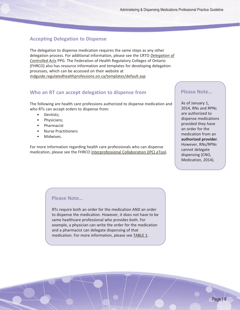#### **Accepting Delegation to Dispense**

The delegation to dispense medication requires the same steps as any other delegation process. For additional information, please see the CRTO *[Delegation](http://www.crto.on.ca/pdf/PPG/delegation.pdf) of [Controlled](http://www.crto.on.ca/pdf/PPG/delegation.pdf) Acts* PPG. The Federation of Health Regulatory Colleges of Ontario (FHRCO) also has resource information and templates for developing delegation processes, which can be accessed on their website at [mdguide.regulatedhealthprofessions.on.ca/templates/default.asp](http://mdguide.regulatedhealthprofessions.on.ca/templates/default.asp)

#### **Who an RT can accept delegation to dispense from**

The following are health care professions authorized to dispense medication and who RTs can accept orders to dispense from:

- Dentists;
- Physicians;
- Pharmacist
- Nurse Practitioners
- Midwives.

For more information regarding health care professionals who can dispense medication, please see the FHRCO [Interprofessional](http://ipc.fhrco.org/acts.php?id=25) Collaboration (IPC) eTool.

#### <span id="page-8-1"></span>**Please Note…**

<span id="page-8-0"></span>As of January 1, 2014, RNs and RPNs are authorized to dispense medications provided they have an order for the medication from an **authorized provider**. However, RNs/RPNs cannot delegate dispensing (CNO, Medication, 2014).

#### **Please Note…**

RTs require both an order for the medication AND an order to dispense the medication. However, it does not have to be same healthcare professional who provides both. For example, a physician can write the order for the medication and a pharmacist can delegate dispensing of that medication. For more information, please see [TABLE](#page-9-2) 1.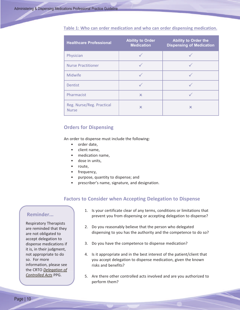| <b>Healthcare Professional</b>            | <b>Ability to Order</b><br><b>Medication</b> | <b>Ability to Order the</b><br><b>Dispensing of Medication</b> |
|-------------------------------------------|----------------------------------------------|----------------------------------------------------------------|
| Physician                                 |                                              |                                                                |
| <b>Nurse Practitioner</b>                 |                                              |                                                                |
| <b>Midwife</b>                            |                                              |                                                                |
| Dentist                                   |                                              |                                                                |
| Pharmacist                                | $\boldsymbol{\times}$                        |                                                                |
| Reg. Nurse/Reg. Practical<br><b>Nurse</b> | $\boldsymbol{\mathsf{x}}$                    | $\boldsymbol{\mathsf{x}}$                                      |

#### <span id="page-9-2"></span>**Table 1: Who can order medication and who can order dispensing medication.**

#### **Orders for Dispensing**

An order to dispense must include the following:

- <span id="page-9-1"></span>order date,
- client name,
- medication name,
- dose in units,
- route,
- frequency,
- purpose, quantity to dispense; and
- prescriber's name, signature, and designation.

#### **Factors to Consider when Accepting Delegation to Dispense**

#### **Reminder...**

Respiratory Therapists are reminded that they are not obligated to accept delegation to dispense medications if it is, in their judgment, not appropriate to do so. For more information, please see the CRTO *[Delegation](http://www.crto.on.ca/pdf/PPG/delegation.pdf) of [Controlled](http://www.crto.on.ca/pdf/PPG/delegation.pdf) Acts* PPG.

- <span id="page-9-0"></span>1. Is your certificate clear of any terms, conditions or limitations that prevent you from dispensing or accepting delegation to dispense?
- 2. Do you reasonably believe that the person who delegated dispensing to you has the authority and the competence to do so?
- 3. Do you have the competence to dispense medication?
- 4. Is it appropriate and in the best interest of the patient/client that you accept delegation to dispense medication, given the known risks and benefits?
- 5. Are there other controlled acts involved and are you authorized to perform them?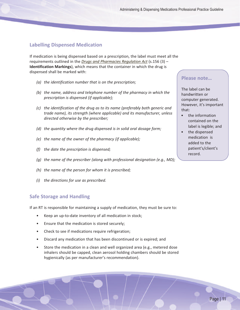#### **Labelling Dispensed Medication**

If medication is being dispensed based on a prescription, the label must meet all the requirements outlined in the *Drugs and [Pharmacies](http://www.e-laws.gov.on.ca/html/statutes/english/elaws_statutes_90h04_e.htm#BK27) Regulation Act* (s.156 (3) – **Identification Markings**), which means that the container in which the drug is dispensed shall be marked with:

- *(a) the identification number that is on the prescription;*
- *(b) the name, address and telephone number of the pharmacy in which the prescription is dispensed (if applicable);*
- *(c) the identification of the drug as to its name (preferably both generic and trade name), its strength (where applicable) and its manufacturer, unless directed otherwise by the prescriber;*
- *(d) the quantity where the drug dispensed is in solid oral dosage form;*
- *(e) the name of the owner of the pharmacy (if applicable);*
- *(f) the date the prescription is dispensed;*
- *(g) the name of the prescriber (along with professional designation (e.g., MD);*
- *(h) the name of the person for whom it is prescribed;*
- *(i) the directions for use as prescribed.*

#### **Safe Storage and Handling**

If an RT is responsible for maintaining a supply of medication, they must be sure to:

- Keep an up-to-date inventory of all medication in stock;
- Ensure that the medication is stored securely;
- Check to see if medications require refrigeration;
- Discard any medication that has been discontinued or is expired; and
- Store the medication in a clean and well organized area (e.g., metered dose inhalers should be capped, clean aerosol holding chambers should be stored hygienically (as per manufacturer's recommendation).

#### <span id="page-10-1"></span>**Please note…**

The label can be handwritten or computer generated. However, it's important that:

- the information contained on the label is legible; and
- <span id="page-10-0"></span>• the dispensed medication is added to the patient's/client's record.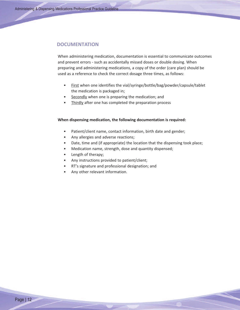#### **DOCUMENTATION**

When administering medication, documentation is essential to communicate outcomes and prevent errors - such as accidentally missed doses or double dosing. When preparing and administering medications, a copy of the order (care plan) should be used as a reference to check the correct dosage three times, as follows:

- <span id="page-11-0"></span>• First when one identifies the vial/syringe/bottle/bag/powder/capsule/tablet the medication is packaged in;
- Secondly when one is preparing the medication; and
- Thirdly after one has completed the preparation process

#### **When dispensing medication, the following documentation is required:**

- Patient/client name, contact information, birth date and gender;
- Any allergies and adverse reactions;
- Date, time and (if appropriate) the location that the dispensing took place;
- Medication name, strength, dose and quantity dispensed;
- Length of therapy;
- Any instructions provided to patient/client;
- RT's signature and professional designation; and
- Any other relevant information.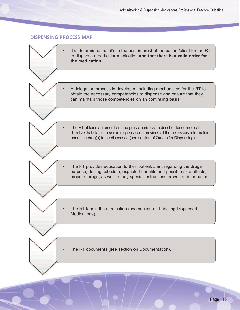#### <span id="page-12-0"></span>**DISPENSING PROCESS MAP**

| It is determined that it's in the best interest of the patient/client for the RT<br>to dispense a particular medication and that there is a valid order for<br>the medication.                                                                  |
|-------------------------------------------------------------------------------------------------------------------------------------------------------------------------------------------------------------------------------------------------|
| A delegation process is developed including mechanisms for the RT to<br>obtain the necessary competencies to dispense and ensure that they<br>can maintain those competencies on an continuing basis.                                           |
| The RT obtains an order from the prescriber(s) via a direct order or medical<br>directive that states they can dispense and provides all the necessary information<br>about the drug(s) to be dispensed (see section of Orders for Dispensing). |
| The RT provides education to their patient/client regarding the drug's<br>purpose, dosing schedule, expected benefits and possible side-effects,<br>proper storage, as well as any special instructions or written information.                 |
| The RT labels the medication (see section on Labeling Dispensed<br>Medications).                                                                                                                                                                |
| The RT documents (see section on Documentation).                                                                                                                                                                                                |
|                                                                                                                                                                                                                                                 |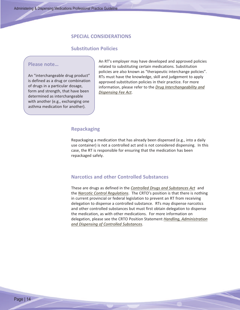#### **SPECIAL CONSIDERATIONS**

#### **Substitution Policies**

#### **Please note…**

An "interchangeable drug product" is defined as a drug or combination of drugs in a particular dosage, form and strength, that have been determined as interchangeable with another (e.g., exchanging one asthma medication for another).

<span id="page-13-3"></span><span id="page-13-2"></span><span id="page-13-1"></span>An RT's employer may have developed and approved policies related to substituting certain medications. Substitution policies are also known as "therapeutic interchange policies". RTs must have the knowledge, skill and judgement to apply approved substitution policies in their practice. For more information, please refer to the *Drug [Interchangeability](http://www.e-laws.gov.on.ca/html/statutes/english/elaws_statutes_90p23_e.htm) and [Dispensing](http://www.e-laws.gov.on.ca/html/statutes/english/elaws_statutes_90p23_e.htm) Fee Act*.

#### **Repackaging**

Repackaging a medication that has already been dispensed (e.g., into a daily use container) is not a controlled act and is not considered dispensing. In this case, the RT is responsible for ensuring that the medication has been repackaged safely.

#### <span id="page-13-0"></span>**Narcotics and other Controlled Substances**

These are drugs as defined in the *Controlled Drugs and [Substances](http://laws-lois.justice.gc.ca/eng/acts/C-38.8/) Act* and the *Narcotic Control [Regulations](http://laws-lois.justice.gc.ca/eng/regulations/C.R.C.,_c._1041/index.html)*. The CRTO's position is that there is nothing in current provincial or federal legislation to prevent an RT from receiving delegation to dispense a controlled substance. RTs may dispense narcotics and other controlled substances but must first obtain delegation to dispense the medication, as with other medications. For more information on delegation, please see the CRTO Position Statement *Handling, [Administration](http://www.crto.on.ca/pdf/positions/Controlled_Substances_PS.pdf) and Dispensing of Controlled [Substances](http://www.crto.on.ca/pdf/positions/Controlled_Substances_PS.pdf)*.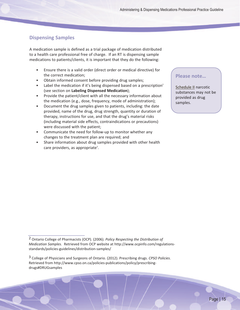#### **Dispensing Samples**

A medication sample is defined as a trial package of medication distributed to a health care professional free of charge. If an RT is dispensing sample medications to patients/clients, it is important that they do the following:

- Ensure there is a valid order (direct order or medical directive) for the correct medication;
- Obtain informed consent before providing drug samples;
- Label the medication if it's being dispensed based on a prescription<sup>2</sup> (see section on **Labeling Dispensed Medication**);
- Provide the patient/client with all the necessary information about the medication (e.g., dose, frequency, mode of administration);
- Document the drug samples given to patients, including: the date provided, name of the drug, drug strength, quantity or duration of therapy, instructions for use, and that the drug's material risks (including material side effects, contraindications or precautions) were discussed with the patient;
- Communicate the need for follow-up to monitor whether any changes to the treatment plan are required; and
- Share information about drug samples provided with other health care providers, as appropriate<sup>3</sup>.

#### <span id="page-14-0"></span>**Please note…**

[Schedule](http://laws-lois.justice.gc.ca/eng/acts/C-38.8/page-25.html#h-29) II narcotic substances may not be provided as drug samples.

<sup>2</sup> Ontario College of Pharmacists (OCP). (2006). *Policy Respecting the Distribution of Medication Samples*. Retrieved from OCP website at http://www.ocpinfo.com/regulationsstandards/policies-guidelines/distribution-samples/

<sup>3</sup> College of Physicians and Surgeons of Ontario. (2012). Prescribing drugs. *CPSO Policies*. Retrieved from http://www.cpso.on.ca/policies-publications/policy/prescribingdrugs#DRUGsamples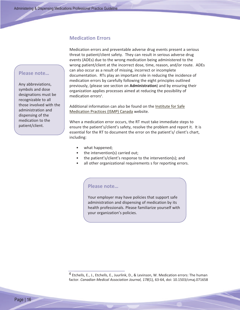#### **Medication Errors**

<span id="page-15-0"></span>Medication errors and preventable adverse drug events present a serious threat to patient/client safety. They can result in serious adverse drug events (ADEs) due to the wrong medication being administered to the wrong patient/client at the incorrect dose, time, reason, and/or route. ADEs can also occur as a result of missing, incorrect or incomplete documentation. RTs play an important role in reducing the incidence of medication errors by carefully following the eight principles outlined previously, (please see section on **Administration**) and by ensuring their organization applies processes aimed at reducing the possibility of medication errors<sup>4</sup>.

Additional information can also be found on the Institute for Safe Medication Practices (ISMP) Canada website.

When a medication error occurs, the RT must take immediate steps to ensure the patient's/client's safety, resolve the problem and report it. It is essential for the RT to document the error on the patient's/ client's chart, including:

- what happened;
- the intervention(s) carried out;
- the patient's/client's response to the intervention(s); and
- all other organizational requirements s for reporting errors.

#### **Please note…**

Your employer may have policies that support safe administration and dispensing of medication by its health professionals. Please familiarize yourself with your organization's policies.

#### **Please note…**

Any abbreviations, symbols and dose designations must be recognizable to all those involved with the administration and dispensing of the medication to the patient/client.

<sup>4</sup> Etchells, E., J., Etchells, E., Juurlink, D., & Levinson, W. Medication errors: The human factor. *Canadian Medical Association Journal, 178*(1), 63-64, doi: 10.1503/cmaj.071658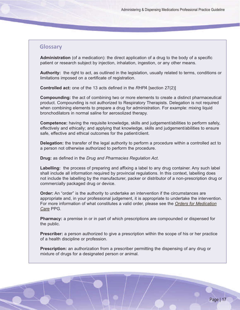#### <span id="page-16-0"></span>**Glossary**

**Administration** (of a medication): the direct application of a drug to the body of a specific patient or research subject by injection, inhalation, ingestion, or any other means.

**Authority:** the right to act, as outlined in the legislation, usually related to terms, conditions or limitations imposed on a certificate of registration.

**Controlled act:** one of the 13 acts defined in the *RHPA* [section 27(2)]

**Compounding:** the act of combining two or more elements to create a distinct pharmaceutical product. Compounding is not authorized to Respiratory Therapists. Delegation is not required when combining elements to prepare a drug for administration. For example: mixing liquid bronchodilators in normal saline for aerosolized therapy.

**Competence:** having the requisite knowledge, skills and judgement/abilities to perform safely, effectively and ethically; and applying that knowledge, skills and judgement/abilities to ensure safe, effective and ethical outcomes for the patient/client.

**Delegation:** the transfer of the legal authority to perform a procedure within a controlled act to a person not otherwise authorized to perform the procedure.

**Drug:** as defined in the *Drug and Pharmacies Regulation Act*.

**Labelling:** the process of preparing and affixing a label to any drug container. Any such label shall include all information required by provincial regulations. In this context, labelling does not include the labelling by the manufacturer, packer or distributor of a non-prescription drug or commercially packaged drug or device.

**Order:** An "order" is the authority to undertake an intervention if the circumstances are appropriate and, in your professional judgement, it is appropriate to undertake the intervention. For more information of what constitutes a valid order, please see the *Orders for [Medication](http://www.crto.on.ca/pdf/PPG/OrdersMC.pdf) [Care](http://www.crto.on.ca/pdf/PPG/OrdersMC.pdf)* PPG.

**Pharmacy:** a premise in or in part of which prescriptions are compounded or dispensed for the public.

**Prescriber:** a person authorized to give a prescription within the scope of his or her practice of a health discipline or profession.

**Prescription:** an authorization from a prescriber permitting the dispensing of any drug or mixture of drugs for a designated person or animal.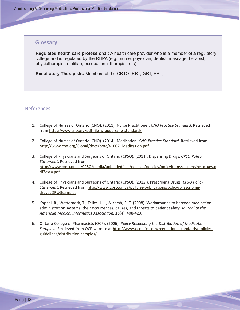#### **Glossary**

**Regulated health care professional:** A health care provider who is a member of a regulatory college and is regulated by the RHPA (e.g., nurse, physician, dentist, massage therapist, physiotherapist, dietitian, occupational therapist, etc)

<span id="page-17-0"></span>**Respiratory Therapists:** Members of the CRTO (RRT, GRT, PRT).

#### **References**

- 1. College of Nurses of Ontario (CNO). (2011). Nurse Practitioner. *CNO Practice Standard*. Retrieved from <http://www.cno.org/pdf-file-wrappers/np-standard/>
- 2. College of Nurses of Ontario (CNO). (2014). Medication. *CNO Practice Standard*. Retrieved from [http://www.cno.org/Global/docs/prac/41007\\_Medication.pdf](http://www.cno.org/Global/docs/prac/41007_Medication.pdf)
- 3. College of Physicians and Surgeons of Ontario (CPSO). (2011). Dispensing Drugs. *CPSO Policy Statement*. Retrieved from [http://www.cpso.on.ca/CPSO/media/uploadedfiles/policies/policies/policyitems/dispensing\\_drugs.p](http://www.cpso.on.ca/CPSO/media/uploadedfiles/policies/policies/policyitems/dispensing_drugs.pdf?ext=.pdf) [df?ext=.pdf](http://www.cpso.on.ca/CPSO/media/uploadedfiles/policies/policies/policyitems/dispensing_drugs.pdf?ext=.pdf)
- 4. College of Physicians and Surgeons of Ontario (CPSO). (2012 ). Prescribing Drugs. *CPSO Policy Statement*. Retrieved from [http://www.cpso.on.ca/policies-publications/policy/prescribing](http://www.cpso.on.ca/policies-publications/policy/prescribing-drugs#DRUGsamples)[drugs#DRUGsamples](http://www.cpso.on.ca/policies-publications/policy/prescribing-drugs#DRUGsamples)
- 5. Koppel, R., Wetterneck, T., Telles, J. L., & Karsh, B. T. (2008). Workarounds to barcode medication administration systems: their occurrences, causes, and threats to patient safety. *Journal of the American Medical Informatics Association, 15*(4), 408-423.
- 6. Ontario College of Pharmacists (OCP). (2006). *Policy Respecting the Distribution of Medication Samples*. Retrieved from OCP website at [http://www.ocpinfo.com/regulations-standards/policies](http://www.ocpinfo.com/regulations-standards/policies-guidelines/distribution-samples/)[guidelines/distribution-samples/](http://www.ocpinfo.com/regulations-standards/policies-guidelines/distribution-samples/)